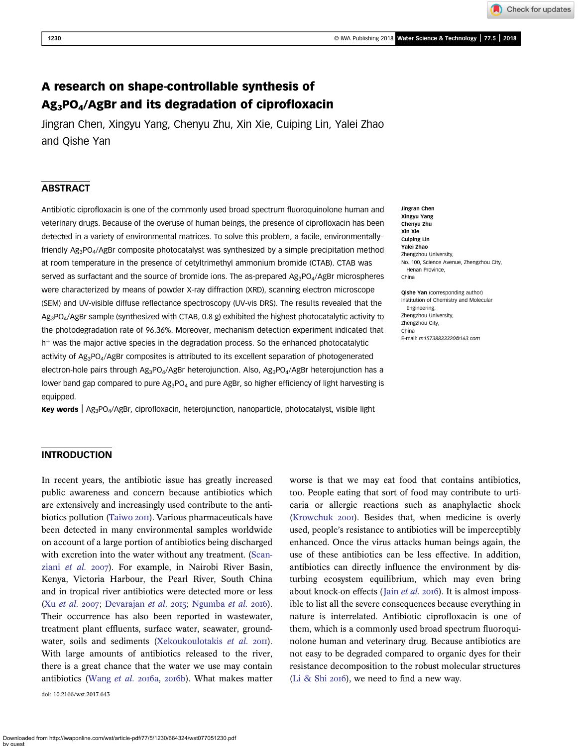Check for updates

# A research on shape-controllable synthesis of Ag3PO4/AgBr and its degradation of ciprofloxacin

Jingran Chen, Xingyu Yang, Chenyu Zhu, Xin Xie, Cuiping Lin, Yalei Zhao and Qishe Yan

## ABSTRACT

Antibiotic ciprofloxacin is one of the commonly used broad spectrum fluoroquinolone human and veterinary drugs. Because of the overuse of human beings, the presence of ciprofloxacin has been detected in a variety of environmental matrices. To solve this problem, a facile, environmentallyfriendly  $Ag_3PO_4/AgBr$  composite photocatalyst was synthesized by a simple precipitation method at room temperature in the presence of cetyltrimethyl ammonium bromide (CTAB). CTAB was served as surfactant and the source of bromide ions. The as-prepared  $Ag_3PO_4/AgBr$  microspheres were characterized by means of powder X-ray diffraction (XRD), scanning electron microscope (SEM) and UV-visible diffuse reflectance spectroscopy (UV-vis DRS). The results revealed that the Ag3PO4/AgBr sample (synthesized with CTAB, 0.8 g) exhibited the highest photocatalytic activity to the photodegradation rate of 96.36%. Moreover, mechanism detection experiment indicated that  $h<sup>+</sup>$  was the major active species in the degradation process. So the enhanced photocatalytic activity of Ag3PO4/AgBr composites is attributed to its excellent separation of photogenerated electron-hole pairs through  $Ag_3PO_4/AgBr$  heterojunction. Also,  $Ag_3PO_4/AgBr$  heterojunction has a lower band gap compared to pure  $Ag_3PO_4$  and pure AgBr, so higher efficiency of light harvesting is equipped.

**Key words**  $\log_3 PO_4/AgBr$ , ciprofloxacin, heterojunction, nanoparticle, photocatalyst, visible light

Jingran Chen Xingyu Yang Chenyu Zhu Xin Xie Cuiping Lin Yalei Zhao Zhengzhou University, No. 100, Science Avenue, Zhengzhou City, Henan Province, China

Qishe Yan (corresponding author) Institution of Chemistry and Molecular Engineering, Zhengzhou University, Zhengzhou City, China E-mail: [m15738833320@163.com](mailto:m15738833320@163.com)

#### INTRODUCTION

In recent years, the antibiotic issue has greatly increased public awareness and concern because antibiotics which are extensively and increasingly used contribute to the anti-biotics pollution [\(Taiwo](#page-7-0) 2011). Various pharmaceuticals have been detected in many environmental samples worldwide on account of a large portion of antibiotics being discharged with excretion into the water without any treatment. [\(Scan](#page-7-0)ziani [et al.](#page-7-0) 2007). For example, in Nairobi River Basin, Kenya, Victoria Harbour, the Pearl River, South China and in tropical river antibiotics were detected more or less (Xu [et al.](#page-7-0) 2007; [Devarajan](#page-7-0) et al. 2015; [Ngumba](#page-7-0) et al. 2016). Their occurrence has also been reported in wastewater, treatment plant effluents, surface water, seawater, ground-water, soils and sediments [\(Xekoukoulotakis](#page-7-0) et al. 2011). With large amounts of antibiotics released to the river, there is a great chance that the water we use may contain antibiotics [\(Wang](#page-7-0) et al. 2016a, 2016b). What makes matter

doi: 10.2166/wst.2017.643

worse is that we may eat food that contains antibiotics, too. People eating that sort of food may contribute to urticaria or allergic reactions such as anaphylactic shock ([Krowchuk](#page-7-0) 2001). Besides that, when medicine is overly used, people's resistance to antibiotics will be imperceptibly enhanced. Once the virus attacks human beings again, the use of these antibiotics can be less effective. In addition, antibiotics can directly influence the environment by disturbing ecosystem equilibrium, which may even bring about knock-on effects (Jain  $et$   $al.$  2016). It is almost impossible to list all the severe consequences because everything in nature is interrelated. Antibiotic ciprofloxacin is one of them, which is a commonly used broad spectrum fluoroquinolone human and veterinary drug. Because antibiotics are not easy to be degraded compared to organic dyes for their resistance decomposition to the robust molecular structures ([Li & Shi](#page-7-0) 2016), we need to find a new way.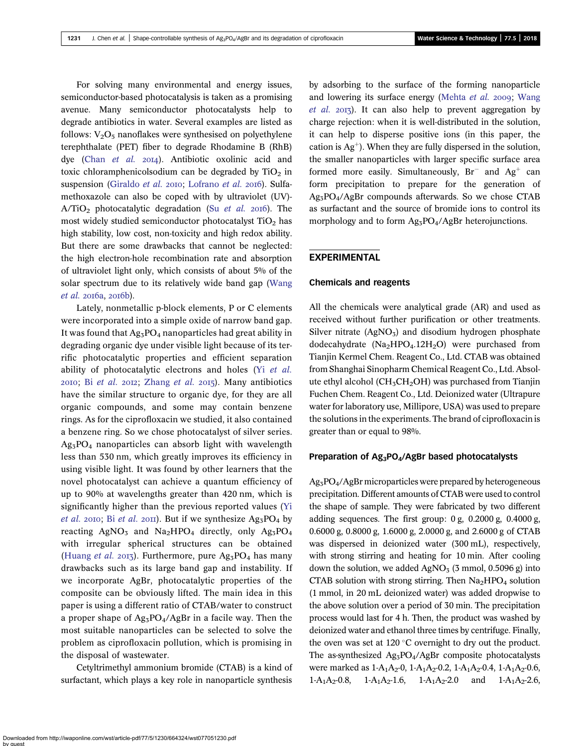For solving many environmental and energy issues, semiconductor-based photocatalysis is taken as a promising avenue. Many semiconductor photocatalysts help to degrade antibiotics in water. Several examples are listed as follows:  $V_2O_5$  nanoflakes were synthesised on polyethylene terephthalate (PET) fiber to degrade Rhodamine B (RhB) dye (Chan [et al.](#page-6-0) 2014). Antibiotic oxolinic acid and toxic chloramphenicolsodium can be degraded by  $TiO<sub>2</sub>$  in suspension [\(Giraldo](#page-7-0) et al. 2010; [Lofrano](#page-7-0) et al. 2016). Sulfamethoxazole can also be coped with by ultraviolet (UV)-  $A/TiO<sub>2</sub>$  photocatalytic degradation (Su *[et al.](#page-7-0)* 2016). The most widely studied semiconductor photocatalyst  $TiO<sub>2</sub>$  has high stability, low cost, non-toxicity and high redox ability. But there are some drawbacks that cannot be neglected: the high electron-hole recombination rate and absorption of ultraviolet light only, which consists of about 5% of the solar spectrum due to its relatively wide band gap [\(Wang](#page-7-0)  $et$  al.  $2016a$ ,  $2016b$ ).

Lately, nonmetallic p-block elements, P or C elements were incorporated into a simple oxide of narrow band gap. It was found that  $Ag_3PO_4$  nanoparticles had great ability in degrading organic dye under visible light because of its terrific photocatalytic properties and efficient separation ability of photocatalytic electrons and holes (Yi [et al.](#page-7-0)  $2010$ ; Bi [et al.](#page-6-0)  $2012$ ; [Zhang](#page-7-0) et al.  $2015$ ). Many antibiotics have the similar structure to organic dye, for they are all organic compounds, and some may contain benzene rings. As for the ciprofloxacin we studied, it also contained a benzene ring. So we chose photocatalyst of silver series.  $Ag_3PO_4$  nanoparticles can absorb light with wavelength less than 530 nm, which greatly improves its efficiency in using visible light. It was found by other learners that the novel photocatalyst can achieve a quantum efficiency of up to 90% at wavelengths greater than 420 nm, which is significantly higher than the previous reported values ([Yi](#page-7-0) [et al.](#page-6-0) 2010; Bi et al. 2011). But if we synthesize  $Ag_3PO_4$  by reacting  $AgNO_3$  and  $Na_2HPO_4$  directly, only  $Ag_3PO_4$ with irregular spherical structures can be obtained [\(Huang](#page-7-0) et al. 2013). Furthermore, pure  $Ag_3PO_4$  has many drawbacks such as its large band gap and instability. If we incorporate AgBr, photocatalytic properties of the composite can be obviously lifted. The main idea in this paper is using a different ratio of CTAB/water to construct a proper shape of  $Ag_3PO_4/AgBr$  in a facile way. Then the most suitable nanoparticles can be selected to solve the problem as ciprofloxacin pollution, which is promising in the disposal of wastewater.

Cetyltrimethyl ammonium bromide (CTAB) is a kind of surfactant, which plays a key role in nanoparticle synthesis

by adsorbing to the surface of the forming nanoparticle and lowering its surface energy [\(Mehta](#page-7-0)  $et$   $al.$  2009; [Wang](#page-7-0) [et al.](#page-7-0)  $2013$ ). It can also help to prevent aggregation by charge rejection: when it is well-distributed in the solution, it can help to disperse positive ions (in this paper, the cation is  $Ag^+$ ). When they are fully dispersed in the solution, the smaller nanoparticles with larger specific surface area formed more easily. Simultaneously,  $Br^-$  and  $Ag^+$  can form precipitation to prepare for the generation of Ag3PO4/AgBr compounds afterwards. So we chose CTAB as surfactant and the source of bromide ions to control its morphology and to form  $Ag_3PO_4/AgBr$  heterojunctions.

# EXPERIMENTAL

#### Chemicals and reagents

All the chemicals were analytical grade (AR) and used as received without further purification or other treatments. Silver nitrate  $(AgNO<sub>3</sub>)$  and disodium hydrogen phosphate dodecahydrate  $(Na_2HPO_4.12H_2O)$  were purchased from Tianjin Kermel Chem. Reagent Co., Ltd. CTAB was obtained from Shanghai Sinopharm Chemical Reagent Co., Ltd. Absolute ethyl alcohol (CH<sub>3</sub>CH<sub>2</sub>OH) was purchased from Tianjin Fuchen Chem. Reagent Co., Ltd. Deionized water (Ultrapure water for laboratory use, Millipore, USA) was used to prepare the solutions in the experiments. The brand of ciprofloxacin is greater than or equal to 98%.

#### Preparation of Ag<sub>3</sub>PO<sub>4</sub>/AgBr based photocatalysts

Ag3PO4/AgBr microparticles were prepared by heterogeneous precipitation. Different amounts of CTAB were used to control the shape of sample. They were fabricated by two different adding sequences. The first group: 0 g, 0.2000 g, 0.4000 g, 0.6000 g, 0.8000 g, 1.6000 g, 2.0000 g, and 2.6000 g of CTAB was dispersed in deionized water (300 mL), respectively, with strong stirring and heating for 10 min. After cooling down the solution, we added  $AgNO<sub>3</sub>$  (3 mmol, 0.5096 g) into CTAB solution with strong stirring. Then  $Na<sub>2</sub>HPO<sub>4</sub>$  solution (1 mmol, in 20 mL deionized water) was added dropwise to the above solution over a period of 30 min. The precipitation process would last for 4 h. Then, the product was washed by deionized water and ethanol three times by centrifuge. Finally, the oven was set at  $120^{\circ}$ C overnight to dry out the product. The as-synthesized Ag<sub>3</sub>PO<sub>4</sub>/AgBr composite photocatalysts were marked as  $1-A_1A_2-0$ ,  $1-A_1A_2-0.2$ ,  $1-A_1A_2-0.4$ ,  $1-A_1A_2-0.6$ , 1-A<sub>1</sub>A<sub>2</sub>-0.8, 1-A<sub>1</sub>A<sub>2</sub>-1.6, 1-A<sub>1</sub>A<sub>2</sub>-2.0 and 1-A<sub>1</sub>A<sub>2</sub>-2.6,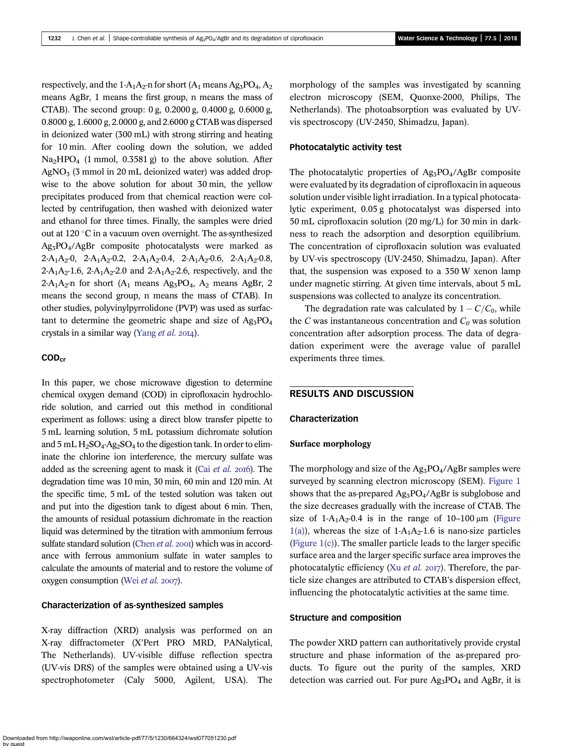respectively, and the 1-A<sub>1</sub>A<sub>2</sub>-n for short (A<sub>1</sub> means Ag<sub>3</sub>PO<sub>4</sub>, A<sub>2</sub> means AgBr, 1 means the first group, n means the mass of CTAB). The second group: 0 g, 0.2000 g, 0.4000 g, 0.6000 g, 0.8000 g, 1.6000 g, 2.0000 g, and 2.6000 g CTAB was dispersed in deionized water (300 mL) with strong stirring and heating for 10 min. After cooling down the solution, we added Na2HPO4 (1 mmol, 0.3581 g) to the above solution. After  $AgNO<sub>3</sub>$  (3 mmol in 20 mL deionized water) was added dropwise to the above solution for about 30 min, the yellow precipitates produced from that chemical reaction were collected by centrifugation, then washed with deionized water and ethanol for three times. Finally, the samples were dried out at 120 $\degree$ C in a vacuum oven overnight. The as-synthesized Ag3PO4/AgBr composite photocatalysts were marked as 2-A<sub>1</sub>A<sub>2</sub>-0, 2-A<sub>1</sub>A<sub>2</sub>-0.2, 2-A<sub>1</sub>A<sub>2</sub>-0.4, 2-A<sub>1</sub>A<sub>2</sub>-0.6, 2-A<sub>1</sub>A<sub>2</sub>-0.8,  $2-A_1A_2-1.6$ ,  $2-A_1A_2-2.0$  and  $2-A_1A_2-2.6$ , respectively, and the 2-A<sub>1</sub>A<sub>2</sub>-n for short (A<sub>1</sub> means Ag<sub>3</sub>PO<sub>4</sub>, A<sub>2</sub> means AgBr, 2 means the second group, n means the mass of CTAB). In other studies, polyvinylpyrrolidone (PVP) was used as surfactant to determine the geometric shape and size of  $Ag_3PO_4$ crystals in a similar way ([Yang](#page-7-0)  $et$   $al.$  2014).

## COD<sub>cr</sub>

In this paper, we chose microwave digestion to determine chemical oxygen demand (COD) in ciprofloxacin hydrochloride solution, and carried out this method in conditional experiment as follows: using a direct blow transfer pipette to 5 mL learning solution, 5 mL potassium dichromate solution and  $5 \text{ mL H}_2\text{SO}_4$ -Ag<sub>2</sub>SO<sub>4</sub> to the digestion tank. In order to eliminate the chlorine ion interference, the mercury sulfate was added as the screening agent to mask it (Cai [et al.](#page-6-0)  $2016$ ). The degradation time was 10 min, 30 min, 60 min and 120 min. At the specific time, 5 mL of the tested solution was taken out and put into the digestion tank to digest about 6 min. Then, the amounts of residual potassium dichromate in the reaction liquid was determined by the titration with ammonium ferrous sulfate standard solution [\(Chen](#page-7-0) et al. 2001) which was in accordance with ferrous ammonium sulfate in water samples to calculate the amounts of material and to restore the volume of oxygen consumption (Wei [et al.](#page-7-0) 2007).

#### Characterization of as-synthesized samples

X-ray diffraction (XRD) analysis was performed on an X-ray diffractometer (X'Pert PRO MRD, PANalytical, The Netherlands). UV-visible diffuse reflection spectra (UV-vis DRS) of the samples were obtained using a UV-vis spectrophotometer (Caly 5000, Agilent, USA). The morphology of the samples was investigated by scanning electron microscopy (SEM, Quonxe-2000, Philips, The Netherlands). The photoabsorption was evaluated by UVvis spectroscopy (UV-2450, Shimadzu, Japan).

#### Photocatalytic activity test

The photocatalytic properties of  $Ag_3PO_4/AgBr$  composite were evaluated by its degradation of ciprofloxacin in aqueous solution under visible light irradiation. In a typical photocatalytic experiment, 0.05 g photocatalyst was dispersed into 50 mL ciprofloxacin solution (20 mg/L) for 30 min in darkness to reach the adsorption and desorption equilibrium. The concentration of ciprofloxacin solution was evaluated by UV-vis spectroscopy (UV-2450, Shimadzu, Japan). After that, the suspension was exposed to a 350 W xenon lamp under magnetic stirring. At given time intervals, about 5 mL suspensions was collected to analyze its concentration.

The degradation rate was calculated by  $1 - C/C_0$ , while the C was instantaneous concentration and  $C_0$  was solution concentration after adsorption process. The data of degradation experiment were the average value of parallel experiments three times.

## RESULTS AND DISCUSSION

#### Characterization

#### Surface morphology

The morphology and size of the  $Ag_3PO_4/AgBr$  samples were surveyed by scanning electron microscopy (SEM). [Figure 1](#page-3-0) shows that the as-prepared  $Ag_3PO_4/AgBr$  is subglobose and the size decreases gradually with the increase of CTAB. The size of  $1-A_1A_2$ -0.4 is in the range of  $10-100 \mu m$  ([Figure](#page-3-0) [1\(a\)](#page-3-0)), whereas the size of  $1-A_1A_2-1.6$  is nano-size particles ([Figure 1\(c\)](#page-3-0)). The smaller particle leads to the larger specific surface area and the larger specific surface area improves the photocatalytic efficiency (Xu [et al.](#page-7-0)  $2017$ ). Therefore, the particle size changes are attributed to CTAB's dispersion effect, influencing the photocatalytic activities at the same time.

#### Structure and composition

The powder XRD pattern can authoritatively provide crystal structure and phase information of the as-prepared products. To figure out the purity of the samples, XRD detection was carried out. For pure  $Ag_3PO_4$  and  $AgBr$ , it is

Downloaded from http://iwaponline.com/wst/article-pdf/77/5/1230/664324/wst077051230.pdf by guest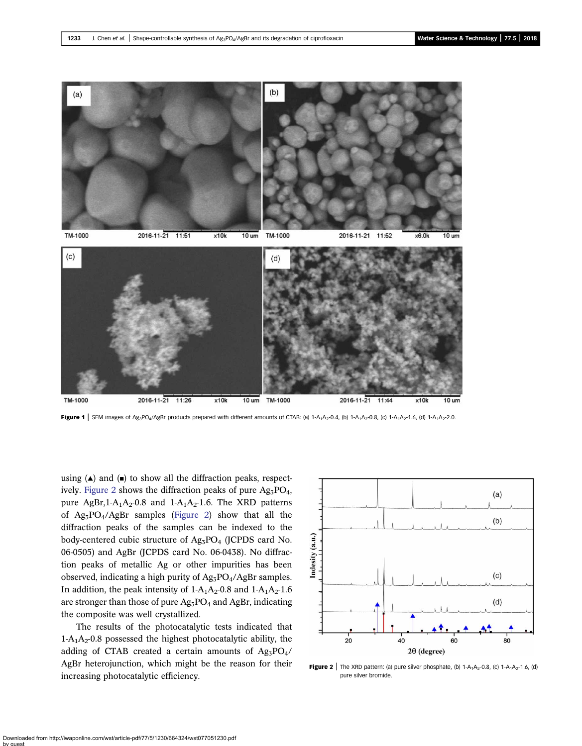<span id="page-3-0"></span>

**Figure 1** SEM images of Ag<sub>3</sub>PO<sub>4</sub>/AgBr products prepared with different amounts of CTAB: (a) 1-A<sub>1</sub>A<sub>2</sub>-0.4, (b) 1-A<sub>1</sub>A<sub>2</sub>-0.8, (c) 1-A<sub>1</sub>A<sub>2</sub>-1.6, (d) 1-A<sub>1</sub>A<sub>2</sub>-2.0.

using  $(\triangle)$  and  $(\square)$  to show all the diffraction peaks, respectively. Figure 2 shows the diffraction peaks of pure  $Ag_3PO_4$ , pure AgBr,  $1-A_1A_2-0.8$  and  $1-A_1A_2-1.6$ . The XRD patterns of Ag3PO4/AgBr samples (Figure 2) show that all the diffraction peaks of the samples can be indexed to the body-centered cubic structure of Ag<sub>3</sub>PO<sub>4</sub> (JCPDS card No. 06-0505) and AgBr (JCPDS card No. 06-0438). No diffraction peaks of metallic Ag or other impurities has been observed, indicating a high purity of  $Ag_3PO_4/AgBr$  samples. In addition, the peak intensity of  $1-A_1A_2-0.8$  and  $1-A_1A_2-1.6$ are stronger than those of pure Ag<sub>3</sub>PO<sub>4</sub> and AgBr, indicating the composite was well crystallized.

The results of the photocatalytic tests indicated that  $1-A_1A_2-0.8$  possessed the highest photocatalytic ability, the adding of CTAB created a certain amounts of  $Ag_3PO_4$ / AgBr heterojunction, which might be the reason for their increasing photocatalytic efficiency.



**Figure 2** The XRD pattern: (a) pure silver phosphate, (b)  $1-A_1A_2-0.8$ , (c)  $1-A_1A_2-1.6$ , (d) pure silver bromide.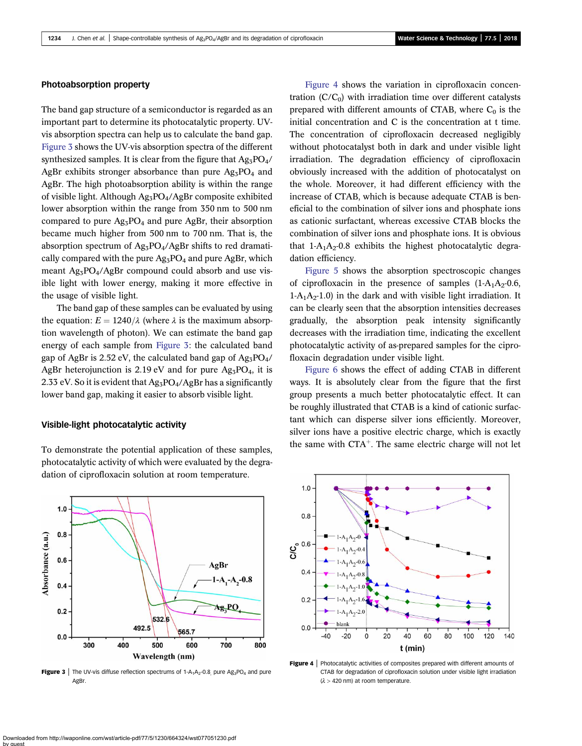#### Photoabsorption property

The band gap structure of a semiconductor is regarded as an important part to determine its photocatalytic property. UVvis absorption spectra can help us to calculate the band gap. Figure 3 shows the UV-vis absorption spectra of the different synthesized samples. It is clear from the figure that  $Ag_3PO_4$ / AgBr exhibits stronger absorbance than pure  $Ag_3PO_4$  and AgBr. The high photoabsorption ability is within the range of visible light. Although Ag3PO4/AgBr composite exhibited lower absorption within the range from 350 nm to 500 nm compared to pure  $Ag_3PO_4$  and pure AgBr, their absorption became much higher from 500 nm to 700 nm. That is, the absorption spectrum of Ag<sub>3</sub>PO<sub>4</sub>/AgBr shifts to red dramatically compared with the pure  $Ag_3PO_4$  and pure AgBr, which meant  $\text{Ag}_3\text{PO}_4/\text{AgBr}$  compound could absorb and use visible light with lower energy, making it more effective in the usage of visible light.

The band gap of these samples can be evaluated by using the equation:  $E = 1240/\lambda$  (where  $\lambda$  is the maximum absorption wavelength of photon). We can estimate the band gap energy of each sample from Figure 3: the calculated band gap of AgBr is 2.52 eV, the calculated band gap of  $Ag_3PO_4$ / AgBr heterojunction is 2.19 eV and for pure  $Ag_3PO_4$ , it is 2.33 eV. So it is evident that  $Ag_3PO_4/AgBr$  has a significantly lower band gap, making it easier to absorb visible light.

#### Visible-light photocatalytic activity



To demonstrate the potential application of these samples, photocatalytic activity of which were evaluated by the degradation of ciprofloxacin solution at room temperature.

Figure 4 shows the variation in ciprofloxacin concentration  $(C/C_0)$  with irradiation time over different catalysts prepared with different amounts of CTAB, where  $C_0$  is the initial concentration and C is the concentration at t time. The concentration of ciprofloxacin decreased negligibly without photocatalyst both in dark and under visible light irradiation. The degradation efficiency of ciprofloxacin obviously increased with the addition of photocatalyst on the whole. Moreover, it had different efficiency with the increase of CTAB, which is because adequate CTAB is beneficial to the combination of silver ions and phosphate ions as cationic surfactant, whereas excessive CTAB blocks the combination of silver ions and phosphate ions. It is obvious that  $1-A_1A_2-0.8$  exhibits the highest photocatalytic degradation efficiency.

[Figure 5](#page-5-0) shows the absorption spectroscopic changes of ciprofloxacin in the presence of samples  $(1-A_1A_2-0.6,$  $1-A_1A_2-1.0$ ) in the dark and with visible light irradiation. It can be clearly seen that the absorption intensities decreases gradually, the absorption peak intensity significantly decreases with the irradiation time, indicating the excellent photocatalytic activity of as-prepared samples for the ciprofloxacin degradation under visible light.

[Figure 6](#page-5-0) shows the effect of adding CTAB in different ways. It is absolutely clear from the figure that the first group presents a much better photocatalytic effect. It can be roughly illustrated that CTAB is a kind of cationic surfactant which can disperse silver ions efficiently. Moreover, silver ions have a positive electric charge, which is exactly the same with  $CTA^+$ . The same electric charge will not let



Figure 4 | Photocatalytic activities of composites prepared with different amounts of CTAB for degradation of ciprofloxacin solution under visible light irradiation  $(\lambda > 420$  nm) at room temperature.

**AgBr**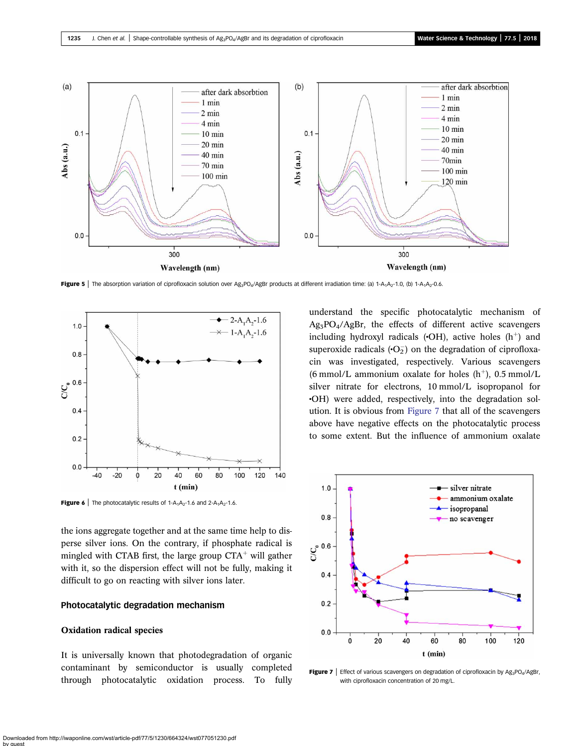<span id="page-5-0"></span>

Figure 5 | The absorption variation of ciprofloxacin solution over Ag<sub>3</sub>PO<sub>4</sub>/AgBr products at different irradiation time: (a) 1-A<sub>1</sub>A<sub>2</sub>-1.0, (b) 1-A<sub>1</sub>A<sub>2</sub>-0.6.



**Figure 6** | The photocatalytic results of  $1-A_1A_2-1.6$  and  $2-A_1A_2-1.6$ .

the ions aggregate together and at the same time help to disperse silver ions. On the contrary, if phosphate radical is mingled with CTAB first, the large group  $CTA<sup>+</sup>$  will gather with it, so the dispersion effect will not be fully, making it difficult to go on reacting with silver ions later.

#### Photocatalytic degradation mechanism

#### Oxidation radical species

It is universally known that photodegradation of organic contaminant by semiconductor is usually completed through photocatalytic oxidation process. To fully understand the specific photocatalytic mechanism of  $Ag<sub>3</sub>PO<sub>4</sub>/AgBr$ , the effects of different active scavengers including hydroxyl radicals  $(\cdot OH)$ , active holes  $(h^+)$  and superoxide radicals  $\left( \cdot O_2^- \right)$  on the degradation of ciprofloxacin was investigated, respectively. Various scavengers (6 mmol/L ammonium oxalate for holes  $(h<sup>+</sup>)$ , 0.5 mmol/L silver nitrate for electrons, 10 mmol/L isopropanol for •OH) were added, respectively, into the degradation solution. It is obvious from Figure 7 that all of the scavengers above have negative effects on the photocatalytic process to some extent. But the influence of ammonium oxalate



**Figure 7** | Effect of various scavengers on degradation of ciprofloxacin by  $Ag_3PO_4/AgBr$ , with ciprofloxacin concentration of 20 mg/L.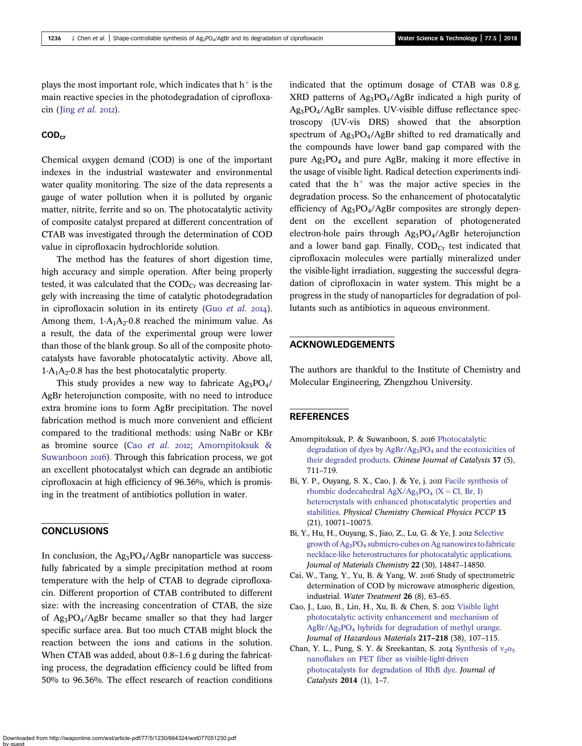<span id="page-6-0"></span>plays the most important role, which indicates that  $h^+$  is the main reactive species in the photodegradation of ciprofloxa $cin$  (Jing [et al.](#page-7-0) 2012).

# COD<sub>cr</sub>

Chemical oxygen demand (COD) is one of the important indexes in the industrial wastewater and environmental water quality monitoring. The size of the data represents a gauge of water pollution when it is polluted by organic matter, nitrite, ferrite and so on. The photocatalytic activity of composite catalyst prepared at different concentration of CTAB was investigated through the determination of COD value in ciprofloxacin hydrochloride solution.

The method has the features of short digestion time, high accuracy and simple operation. After being properly tested, it was calculated that the  $\mathrm{COD}_{\mathrm{Cr}}$  was decreasing largely with increasing the time of catalytic photodegradation in ciprofloxacin solution in its entirety (Guo  $et$   $al.$  2014). Among them,  $1-A_1A_2-0.8$  reached the minimum value. As a result, the data of the experimental group were lower than those of the blank group. So all of the composite photocatalysts have favorable photocatalytic activity. Above all,  $1-A_1A_2$ -0.8 has the best photocatalytic property.

This study provides a new way to fabricate  $Ag_3PO_4$ / AgBr heterojunction composite, with no need to introduce extra bromine ions to form AgBr precipitation. The novel fabrication method is much more convenient and efficient compared to the traditional methods: using NaBr or KBr as bromine source (Cao et al. 2012; Amornpitoksuk & Suwanboon 2016). Through this fabrication process, we got an excellent photocatalyst which can degrade an antibiotic ciprofloxacin at high efficiency of 96.36%, which is promising in the treatment of antibiotics pollution in water.

## CONCLUSIONS

In conclusion, the  $Ag_3PO_4/AgBr$  nanoparticle was successfully fabricated by a simple precipitation method at room temperature with the help of CTAB to degrade ciprofloxacin. Different proportion of CTAB contributed to different size: with the increasing concentration of CTAB, the size of  $Ag_3PO_4/AgBr$  became smaller so that they had larger specific surface area. But too much CTAB might block the reaction between the ions and cations in the solution. When CTAB was added, about 0.8–1.6 g during the fabricating process, the degradation efficiency could be lifted from 50% to 96.36%. The effect research of reaction conditions indicated that the optimum dosage of CTAB was 0.8 g. XRD patterns of  $Ag_3PO_4/AgBr$  indicated a high purity of Ag3PO4/AgBr samples. UV-visible diffuse reflectance spectroscopy (UV-vis DRS) showed that the absorption spectrum of  $Ag_3PO_4/AgBr$  shifted to red dramatically and the compounds have lower band gap compared with the pure  $Ag_3PO_4$  and pure AgBr, making it more effective in the usage of visible light. Radical detection experiments indicated that the  $h<sup>+</sup>$  was the major active species in the degradation process. So the enhancement of photocatalytic efficiency of Ag3PO4/AgBr composites are strongly dependent on the excellent separation of photogenerated electron-hole pairs through Ag3PO4/AgBr heterojunction and a lower band gap. Finally,  $\text{COD}_{\text{Cr}}$  test indicated that ciprofloxacin molecules were partially mineralized under the visible-light irradiation, suggesting the successful degradation of ciprofloxacin in water system. This might be a progress in the study of nanoparticles for degradation of pollutants such as antibiotics in aqueous environment.

## ACKNOWLEDGEMENTS

The authors are thankful to the Institute of Chemistry and Molecular Engineering, Zhengzhou University.

## **REFERENCES**

- Amornpitoksuk, P. & Suwanboon, S. 2016 [Photocatalytic](http://dx.doi.org/10.1016/S1872-2067(15)61078-6) degradation of dyes by AgBr/Ag<sub>3</sub>PO<sub>4</sub> [and the ecotoxicities of](http://dx.doi.org/10.1016/S1872-2067(15)61078-6) [their degraded products](http://dx.doi.org/10.1016/S1872-2067(15)61078-6). Chinese Journal of Catalysis 37 (5), 711–719.
- Bi, Y. P., Ouyang, S. X., Cao, J. & Ye, j. 2011 [Facile synthesis of](http://dx.doi.org/10.1039/c1cp20488b) rhombic dodecahedral AgX/Ag<sub>3</sub>PO<sub>4</sub> [\(X](http://dx.doi.org/10.1039/c1cp20488b) = [Cl, Br, I\)](http://dx.doi.org/10.1039/c1cp20488b) [heterocrystals with enhanced photocatalytic properties and](http://dx.doi.org/10.1039/c1cp20488b) [stabilities](http://dx.doi.org/10.1039/c1cp20488b). Physical Chemistry Chemical Physics PCCP 13 (21), 10071–10075.
- Bi, Y., Hu, H., Ouyang, S., Jiao, Z., Lu, G. & Ye, J. 2012 [Selective](http://dx.doi.org/10.1039/c2jm32800c) growth of Ag<sub>3</sub>PO<sub>4</sub> [submicro-cubes on Ag nanowires to fabricate](http://dx.doi.org/10.1039/c2jm32800c) [necklace-like heterostructures for photocatalytic applications](http://dx.doi.org/10.1039/c2jm32800c). Journal of Materials Chemistry 22 (30), 14847–14850.
- Cai, W., Tang, Y., Yu, B. & Yang, W. 2016 Study of spectrometric determination of COD by microwave atmospheric digestion, industrial. Water Treatment 26 (8), 63–65.
- Cao, J., Luo, B., Lin, H., Xu, B. & Chen, S. 2012 [Visible light](http://dx.doi.org/10.1016/j.jhazmat.2012.03.002) [photocatalytic activity enhancement and mechanism of](http://dx.doi.org/10.1016/j.jhazmat.2012.03.002) [AgBr/Ag3PO4](http://dx.doi.org/10.1016/j.jhazmat.2012.03.002) [hybrids for degradation of methyl orange](http://dx.doi.org/10.1016/j.jhazmat.2012.03.002). Journal of Hazardous Materials 217–218 (38), 107–115.
- Chan, Y. L., Pung, S. Y. & Sreekantan, S. 2014 Synthesis of  $v_{205}$ [nanoflakes on PET fiber as visible-light-driven](http://dx.doi.org/10.1155/2014/370696) [photocatalysts for degradation of RhB dye.](http://dx.doi.org/10.1155/2014/370696) Journal of Catalysts 2014 (1), 1–7.